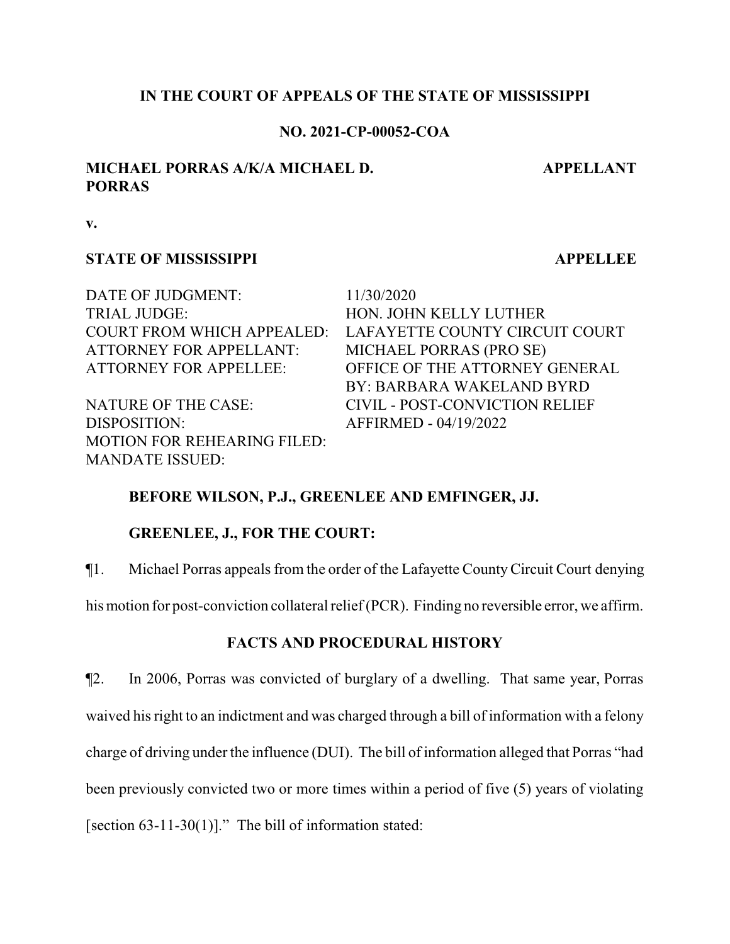### **IN THE COURT OF APPEALS OF THE STATE OF MISSISSIPPI**

### **NO. 2021-CP-00052-COA**

# **MICHAEL PORRAS A/K/A MICHAEL D. PORRAS**

**APPELLANT**

**v.**

### **STATE OF MISSISSIPPI APPELLEE**

DATE OF JUDGMENT: 11/30/2020 TRIAL JUDGE: HON. JOHN KELLY LUTHER COURT FROM WHICH APPEALED: LAFAYETTE COUNTY CIRCUIT COURT ATTORNEY FOR APPELLANT: MICHAEL PORRAS (PRO SE) ATTORNEY FOR APPELLEE: OFFICE OF THE ATTORNEY GENERAL

DISPOSITION: AFFIRMED - 04/19/2022 MOTION FOR REHEARING FILED: MANDATE ISSUED:

BY: BARBARA WAKELAND BYRD NATURE OF THE CASE: CIVIL - POST-CONVICTION RELIEF

## **BEFORE WILSON, P.J., GREENLEE AND EMFINGER, JJ.**

## **GREENLEE, J., FOR THE COURT:**

¶1. Michael Porras appeals from the order of the Lafayette CountyCircuit Court denying

his motion for post-conviction collateral relief(PCR). Finding no reversible error, we affirm.

## **FACTS AND PROCEDURAL HISTORY**

¶2. In 2006, Porras was convicted of burglary of a dwelling. That same year, Porras waived his right to an indictment and was charged through a bill of information with a felony charge of driving under the influence (DUI). The bill of information alleged that Porras "had been previously convicted two or more times within a period of five (5) years of violating [section  $63-11-30(1)$ ]." The bill of information stated: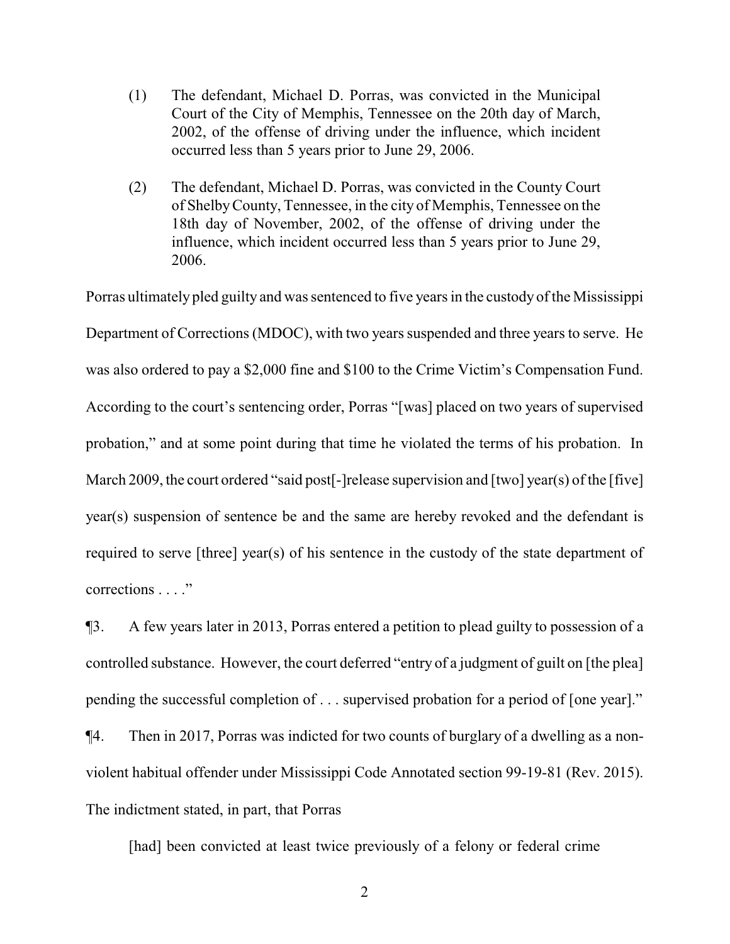- (1) The defendant, Michael D. Porras, was convicted in the Municipal Court of the City of Memphis, Tennessee on the 20th day of March, 2002, of the offense of driving under the influence, which incident occurred less than 5 years prior to June 29, 2006.
- (2) The defendant, Michael D. Porras, was convicted in the County Court of ShelbyCounty, Tennessee, in the city of Memphis, Tennessee on the 18th day of November, 2002, of the offense of driving under the influence, which incident occurred less than 5 years prior to June 29, 2006.

Porras ultimately pled guilty and was sentenced to five years in the custody of the Mississippi Department of Corrections (MDOC), with two years suspended and three years to serve. He was also ordered to pay a \$2,000 fine and \$100 to the Crime Victim's Compensation Fund. According to the court's sentencing order, Porras "[was] placed on two years of supervised probation," and at some point during that time he violated the terms of his probation. In March 2009, the court ordered "said post<sup>[</sup>-]release supervision and [two] year(s) of the [five] year(s) suspension of sentence be and the same are hereby revoked and the defendant is required to serve [three] year(s) of his sentence in the custody of the state department of corrections . . . ."

¶3. A few years later in 2013, Porras entered a petition to plead guilty to possession of a controlled substance. However, the court deferred "entry of a judgment of guilt on [the plea] pending the successful completion of . . . supervised probation for a period of [one year]."

¶4. Then in 2017, Porras was indicted for two counts of burglary of a dwelling as a nonviolent habitual offender under Mississippi Code Annotated section 99-19-81 (Rev. 2015). The indictment stated, in part, that Porras

[had] been convicted at least twice previously of a felony or federal crime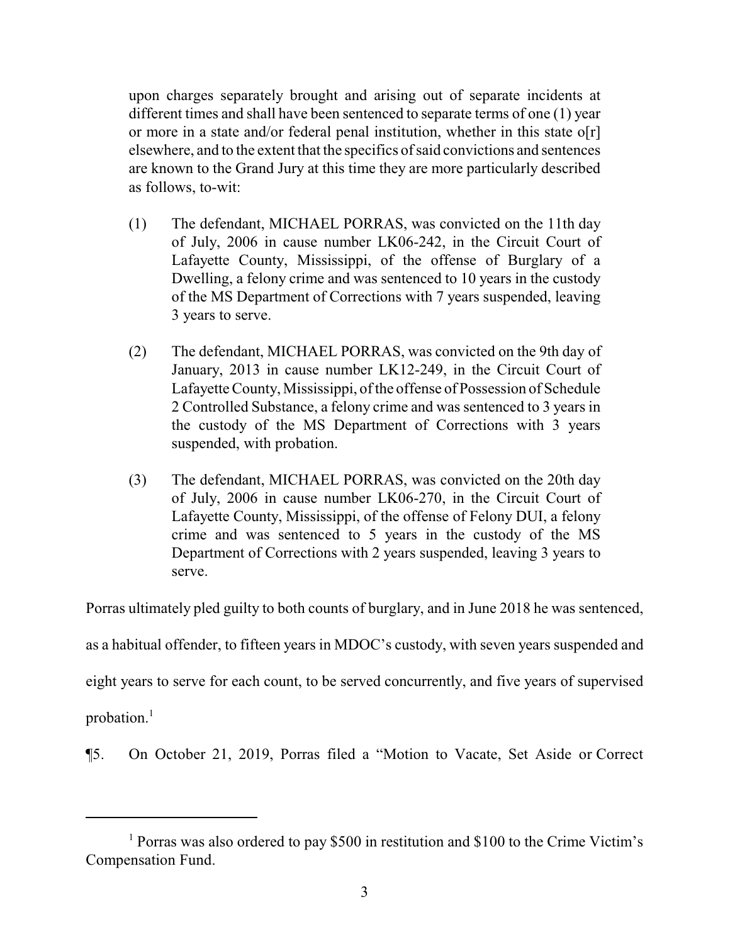upon charges separately brought and arising out of separate incidents at different times and shall have been sentenced to separate terms of one (1) year or more in a state and/or federal penal institution, whether in this state o[r] elsewhere, and to the extent that the specifics of said convictions and sentences are known to the Grand Jury at this time they are more particularly described as follows, to-wit:

- (1) The defendant, MICHAEL PORRAS, was convicted on the 11th day of July, 2006 in cause number LK06-242, in the Circuit Court of Lafayette County, Mississippi, of the offense of Burglary of a Dwelling, a felony crime and was sentenced to 10 years in the custody of the MS Department of Corrections with 7 years suspended, leaving 3 years to serve.
- (2) The defendant, MICHAEL PORRAS, was convicted on the 9th day of January, 2013 in cause number LK12-249, in the Circuit Court of Lafayette County, Mississippi, of the offense of Possession of Schedule 2 Controlled Substance, a felony crime and was sentenced to 3 years in the custody of the MS Department of Corrections with 3 years suspended, with probation.
- (3) The defendant, MICHAEL PORRAS, was convicted on the 20th day of July, 2006 in cause number LK06-270, in the Circuit Court of Lafayette County, Mississippi, of the offense of Felony DUI, a felony crime and was sentenced to 5 years in the custody of the MS Department of Corrections with 2 years suspended, leaving 3 years to serve.

Porras ultimately pled guilty to both counts of burglary, and in June 2018 he was sentenced,

as a habitual offender, to fifteen years in MDOC's custody, with seven years suspended and

eight years to serve for each count, to be served concurrently, and five years of supervised

probation.<sup>1</sup>

¶5. On October 21, 2019, Porras filed a "Motion to Vacate, Set Aside or Correct

<sup>1</sup> Porras was also ordered to pay \$500 in restitution and \$100 to the Crime Victim's Compensation Fund.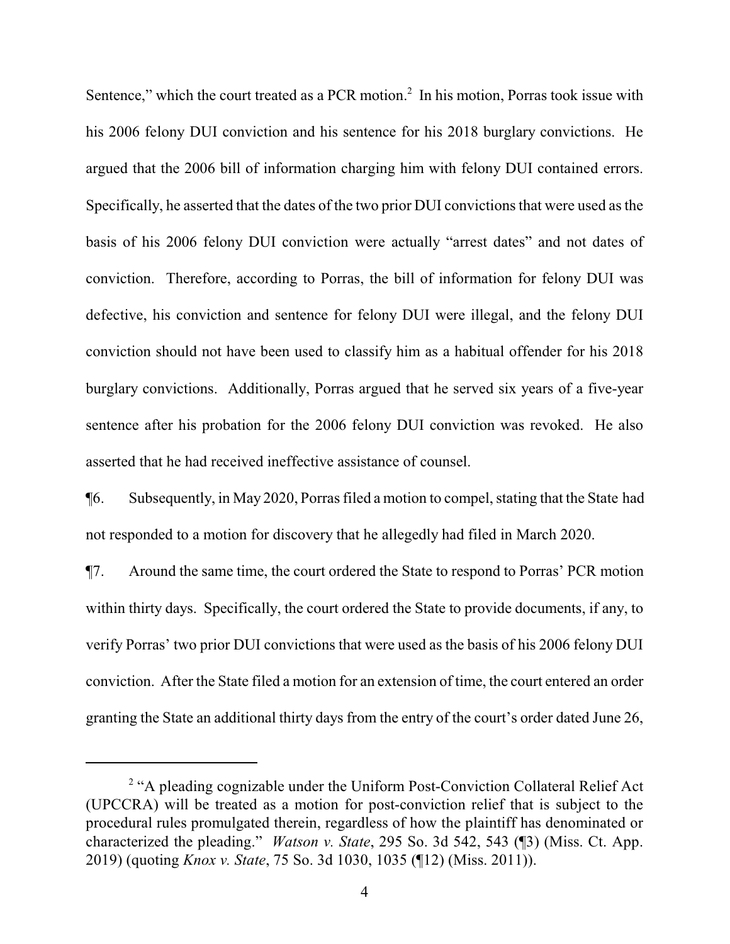Sentence," which the court treated as a PCR motion. $<sup>2</sup>$  In his motion, Porras took issue with</sup> his 2006 felony DUI conviction and his sentence for his 2018 burglary convictions. He argued that the 2006 bill of information charging him with felony DUI contained errors. Specifically, he asserted that the dates of the two prior DUI convictions that were used as the basis of his 2006 felony DUI conviction were actually "arrest dates" and not dates of conviction. Therefore, according to Porras, the bill of information for felony DUI was defective, his conviction and sentence for felony DUI were illegal, and the felony DUI conviction should not have been used to classify him as a habitual offender for his 2018 burglary convictions. Additionally, Porras argued that he served six years of a five-year sentence after his probation for the 2006 felony DUI conviction was revoked. He also asserted that he had received ineffective assistance of counsel.

¶6. Subsequently, in May 2020, Porras filed a motion to compel, stating that the State had not responded to a motion for discovery that he allegedly had filed in March 2020.

¶7. Around the same time, the court ordered the State to respond to Porras' PCR motion within thirty days. Specifically, the court ordered the State to provide documents, if any, to verify Porras' two prior DUI convictions that were used as the basis of his 2006 felony DUI conviction. After the State filed a motion for an extension of time, the court entered an order granting the State an additional thirty days from the entry of the court's order dated June 26,

<sup>&</sup>lt;sup>2</sup> "A pleading cognizable under the Uniform Post-Conviction Collateral Relief Act (UPCCRA) will be treated as a motion for post-conviction relief that is subject to the procedural rules promulgated therein, regardless of how the plaintiff has denominated or characterized the pleading." *Watson v. State*, 295 So. 3d 542, 543 (¶3) (Miss. Ct. App. 2019) (quoting *Knox v. State*, 75 So. 3d 1030, 1035 (¶12) (Miss. 2011)).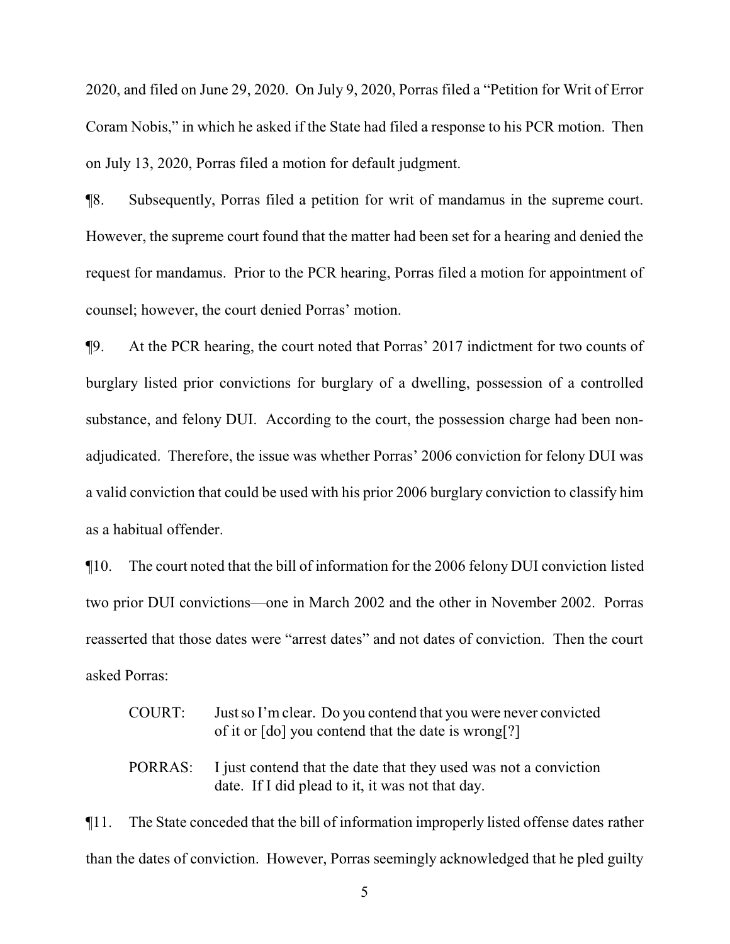2020, and filed on June 29, 2020. On July 9, 2020, Porras filed a "Petition for Writ of Error Coram Nobis," in which he asked if the State had filed a response to his PCR motion. Then on July 13, 2020, Porras filed a motion for default judgment.

¶8. Subsequently, Porras filed a petition for writ of mandamus in the supreme court. However, the supreme court found that the matter had been set for a hearing and denied the request for mandamus. Prior to the PCR hearing, Porras filed a motion for appointment of counsel; however, the court denied Porras' motion.

¶9. At the PCR hearing, the court noted that Porras' 2017 indictment for two counts of burglary listed prior convictions for burglary of a dwelling, possession of a controlled substance, and felony DUI. According to the court, the possession charge had been nonadjudicated. Therefore, the issue was whether Porras' 2006 conviction for felony DUI was a valid conviction that could be used with his prior 2006 burglary conviction to classify him as a habitual offender.

¶10. The court noted that the bill of information for the 2006 felony DUI conviction listed two prior DUI convictions—one in March 2002 and the other in November 2002. Porras reasserted that those dates were "arrest dates" and not dates of conviction. Then the court asked Porras:

|         | <b>COURT:</b>                                                                          | Just so I'm clear. Do you contend that you were never convicted<br>of it or [do] you contend that the date is wrong[?] |
|---------|----------------------------------------------------------------------------------------|------------------------------------------------------------------------------------------------------------------------|
|         | PORRAS:                                                                                | I just contend that the date that they used was not a conviction<br>date. If I did plead to it, it was not that day.   |
| $\P11.$ | The State conceded that the bill of information improperly listed offense dates rather |                                                                                                                        |
|         |                                                                                        | than the dates of conviction. However, Porras seemingly acknowledged that he pled guilty                               |

5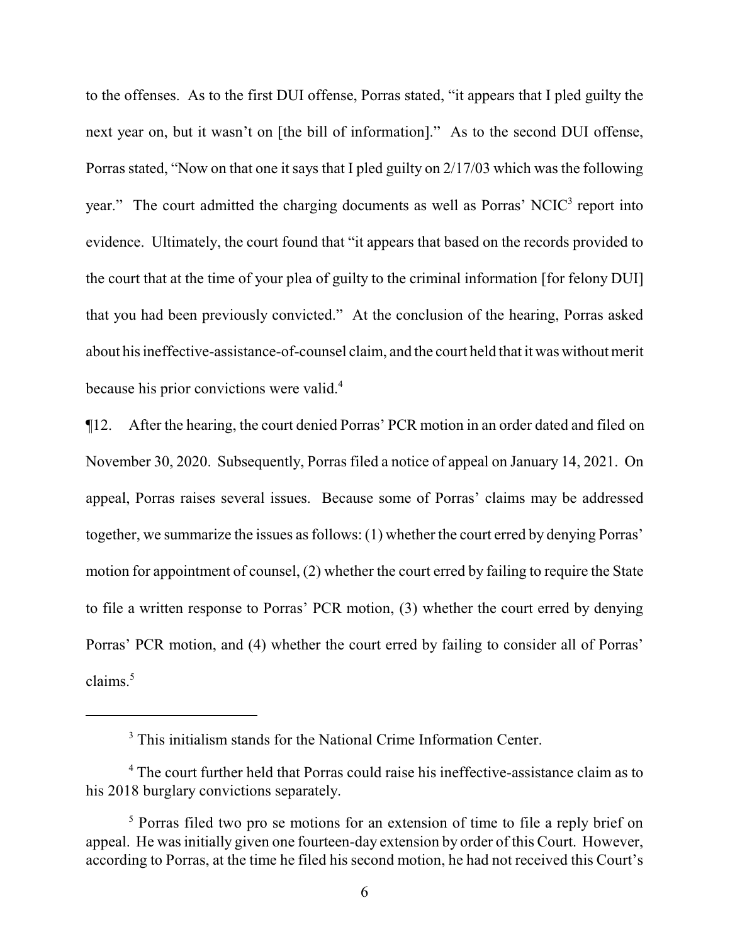to the offenses. As to the first DUI offense, Porras stated, "it appears that I pled guilty the next year on, but it wasn't on [the bill of information]." As to the second DUI offense, Porras stated, "Now on that one it says that I pled guilty on 2/17/03 which was the following year." The court admitted the charging documents as well as Porras' NCIC<sup>3</sup> report into evidence. Ultimately, the court found that "it appears that based on the records provided to the court that at the time of your plea of guilty to the criminal information [for felony DUI] that you had been previously convicted." At the conclusion of the hearing, Porras asked about his ineffective-assistance-of-counsel claim, and the court held that it was without merit because his prior convictions were valid.<sup>4</sup>

¶12. After the hearing, the court denied Porras' PCR motion in an order dated and filed on November 30, 2020. Subsequently, Porras filed a notice of appeal on January 14, 2021. On appeal, Porras raises several issues. Because some of Porras' claims may be addressed together, we summarize the issues as follows: (1) whether the court erred by denying Porras' motion for appointment of counsel, (2) whether the court erred by failing to require the State to file a written response to Porras' PCR motion, (3) whether the court erred by denying Porras' PCR motion, and (4) whether the court erred by failing to consider all of Porras' claims.<sup>5</sup>

<sup>&</sup>lt;sup>3</sup> This initialism stands for the National Crime Information Center.

<sup>&</sup>lt;sup>4</sup> The court further held that Porras could raise his ineffective-assistance claim as to his 2018 burglary convictions separately.

<sup>&</sup>lt;sup>5</sup> Porras filed two pro se motions for an extension of time to file a reply brief on appeal. He was initially given one fourteen-day extension by order of this Court. However, according to Porras, at the time he filed his second motion, he had not received this Court's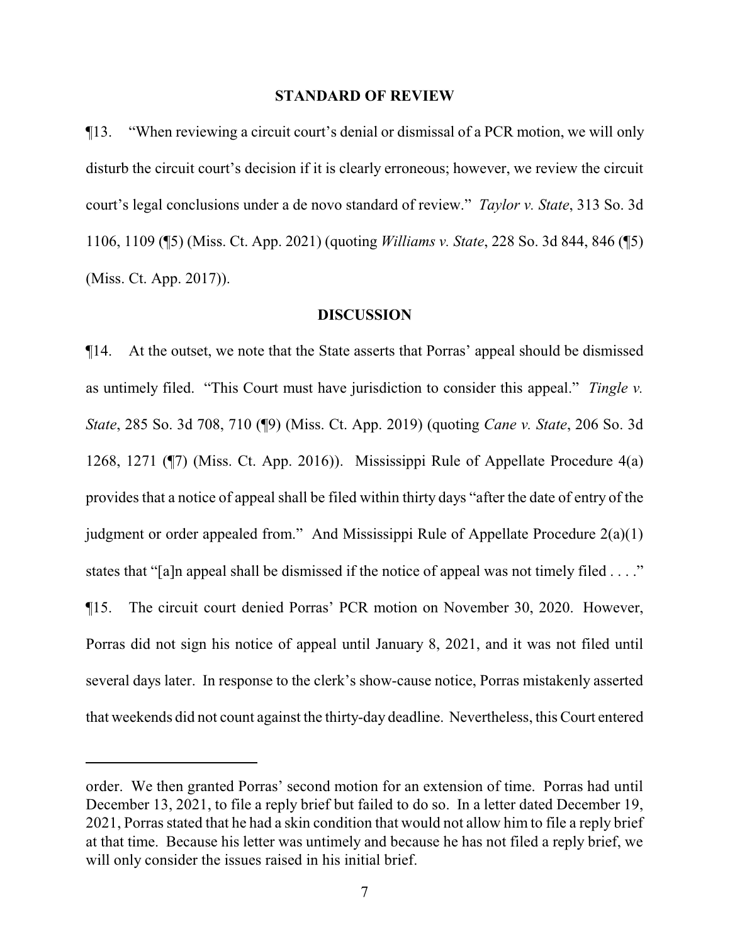#### **STANDARD OF REVIEW**

¶13. "When reviewing a circuit court's denial or dismissal of a PCR motion, we will only disturb the circuit court's decision if it is clearly erroneous; however, we review the circuit court's legal conclusions under a de novo standard of review." *Taylor v. State*, 313 So. 3d 1106, 1109 (¶5) (Miss. Ct. App. 2021) (quoting *Williams v. State*, 228 So. 3d 844, 846 (¶5) (Miss. Ct. App. 2017)).

#### **DISCUSSION**

¶14. At the outset, we note that the State asserts that Porras' appeal should be dismissed as untimely filed. "This Court must have jurisdiction to consider this appeal." *Tingle v. State*, 285 So. 3d 708, 710 (¶9) (Miss. Ct. App. 2019) (quoting *Cane v. State*, 206 So. 3d 1268, 1271 (¶7) (Miss. Ct. App. 2016)). Mississippi Rule of Appellate Procedure 4(a) provides that a notice of appeal shall be filed within thirty days "after the date of entry of the judgment or order appealed from." And Mississippi Rule of Appellate Procedure 2(a)(1) states that "[a]n appeal shall be dismissed if the notice of appeal was not timely filed . . . ." ¶15. The circuit court denied Porras' PCR motion on November 30, 2020. However, Porras did not sign his notice of appeal until January 8, 2021, and it was not filed until several days later. In response to the clerk's show-cause notice, Porras mistakenly asserted that weekends did not count against the thirty-day deadline. Nevertheless, this Court entered

order. We then granted Porras' second motion for an extension of time. Porras had until December 13, 2021, to file a reply brief but failed to do so. In a letter dated December 19, 2021, Porras stated that he had a skin condition that would not allow him to file a reply brief at that time. Because his letter was untimely and because he has not filed a reply brief, we will only consider the issues raised in his initial brief.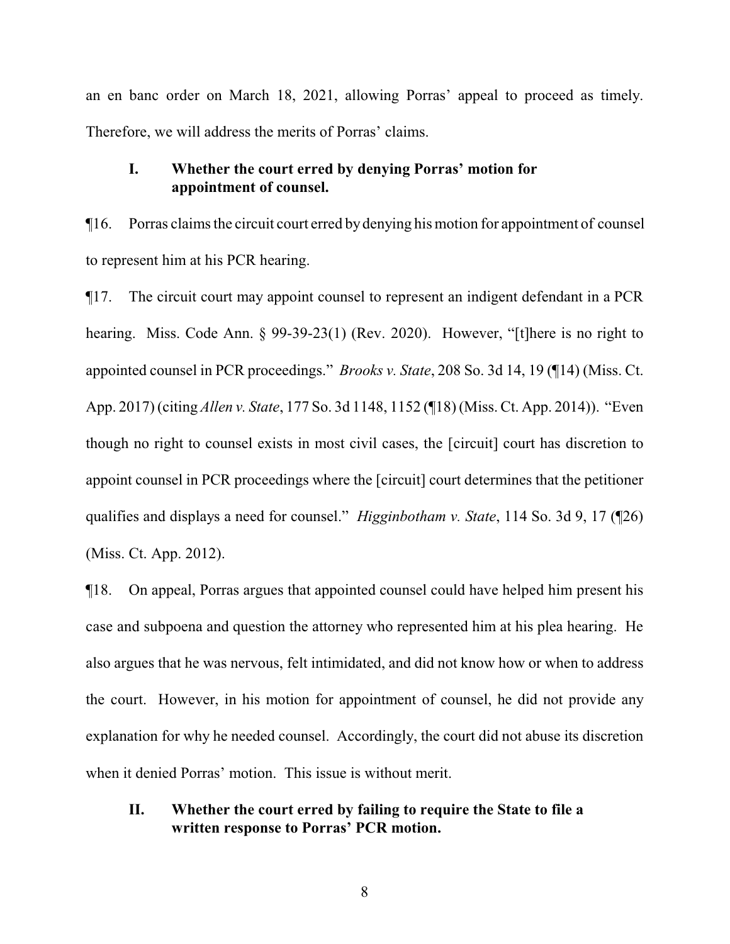an en banc order on March 18, 2021, allowing Porras' appeal to proceed as timely. Therefore, we will address the merits of Porras' claims.

# **I. Whether the court erred by denying Porras' motion for appointment of counsel.**

¶16. Porras claimsthe circuit court erred by denying his motion for appointment of counsel to represent him at his PCR hearing.

¶17. The circuit court may appoint counsel to represent an indigent defendant in a PCR hearing. Miss. Code Ann. § 99-39-23(1) (Rev. 2020). However, "[t]here is no right to appointed counsel in PCR proceedings." *Brooks v. State*, 208 So. 3d 14, 19 (¶14) (Miss. Ct. App. 2017) (citing *Allen v. State*, 177 So. 3d 1148, 1152 (¶18) (Miss. Ct. App. 2014)). "Even though no right to counsel exists in most civil cases, the [circuit] court has discretion to appoint counsel in PCR proceedings where the [circuit] court determines that the petitioner qualifies and displays a need for counsel." *Higginbotham v. State*, 114 So. 3d 9, 17 (¶26) (Miss. Ct. App. 2012).

¶18. On appeal, Porras argues that appointed counsel could have helped him present his case and subpoena and question the attorney who represented him at his plea hearing. He also argues that he was nervous, felt intimidated, and did not know how or when to address the court. However, in his motion for appointment of counsel, he did not provide any explanation for why he needed counsel. Accordingly, the court did not abuse its discretion when it denied Porras' motion. This issue is without merit.

# **II. Whether the court erred by failing to require the State to file a written response to Porras' PCR motion.**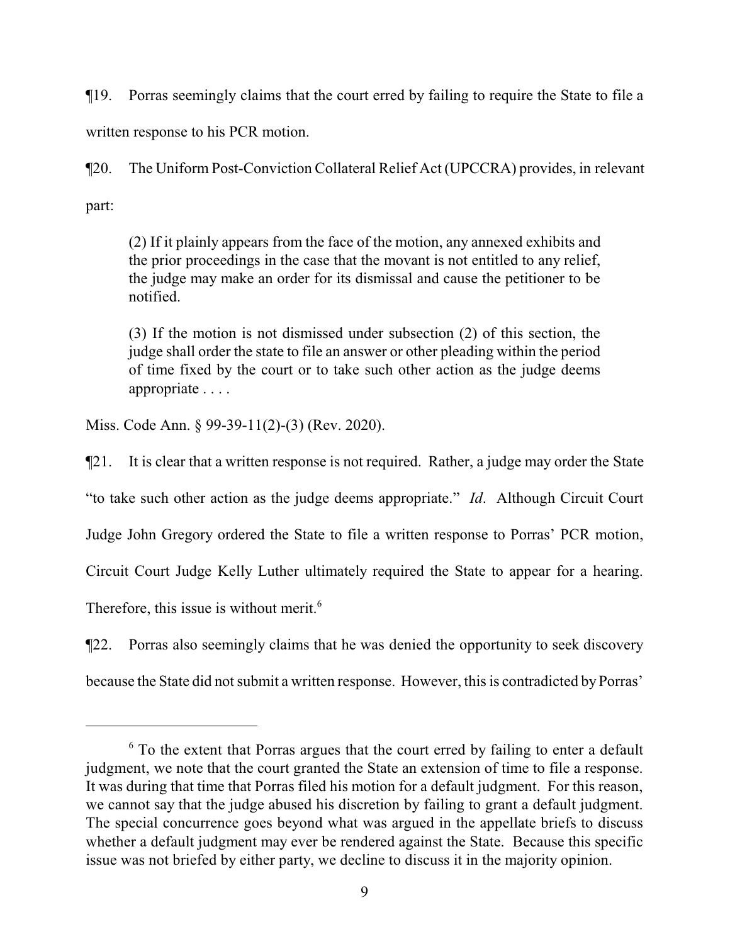¶19. Porras seemingly claims that the court erred by failing to require the State to file a written response to his PCR motion.

¶20. The Uniform Post-Conviction Collateral Relief Act (UPCCRA) provides, in relevant part:

(2) If it plainly appears from the face of the motion, any annexed exhibits and the prior proceedings in the case that the movant is not entitled to any relief, the judge may make an order for its dismissal and cause the petitioner to be notified.

(3) If the motion is not dismissed under subsection (2) of this section, the judge shall order the state to file an answer or other pleading within the period of time fixed by the court or to take such other action as the judge deems appropriate . . . .

Miss. Code Ann. § 99-39-11(2)-(3) (Rev. 2020).

¶21. It is clear that a written response is not required. Rather, a judge may order the State "to take such other action as the judge deems appropriate." *Id*. Although Circuit Court Judge John Gregory ordered the State to file a written response to Porras' PCR motion, Circuit Court Judge Kelly Luther ultimately required the State to appear for a hearing. Therefore, this issue is without merit.<sup>6</sup>

¶22. Porras also seemingly claims that he was denied the opportunity to seek discovery because the State did not submit a written response. However, this is contradicted by Porras'

 $6$ <sup>6</sup> To the extent that Porras argues that the court erred by failing to enter a default judgment, we note that the court granted the State an extension of time to file a response. It was during that time that Porras filed his motion for a default judgment. For this reason, we cannot say that the judge abused his discretion by failing to grant a default judgment. The special concurrence goes beyond what was argued in the appellate briefs to discuss whether a default judgment may ever be rendered against the State. Because this specific issue was not briefed by either party, we decline to discuss it in the majority opinion.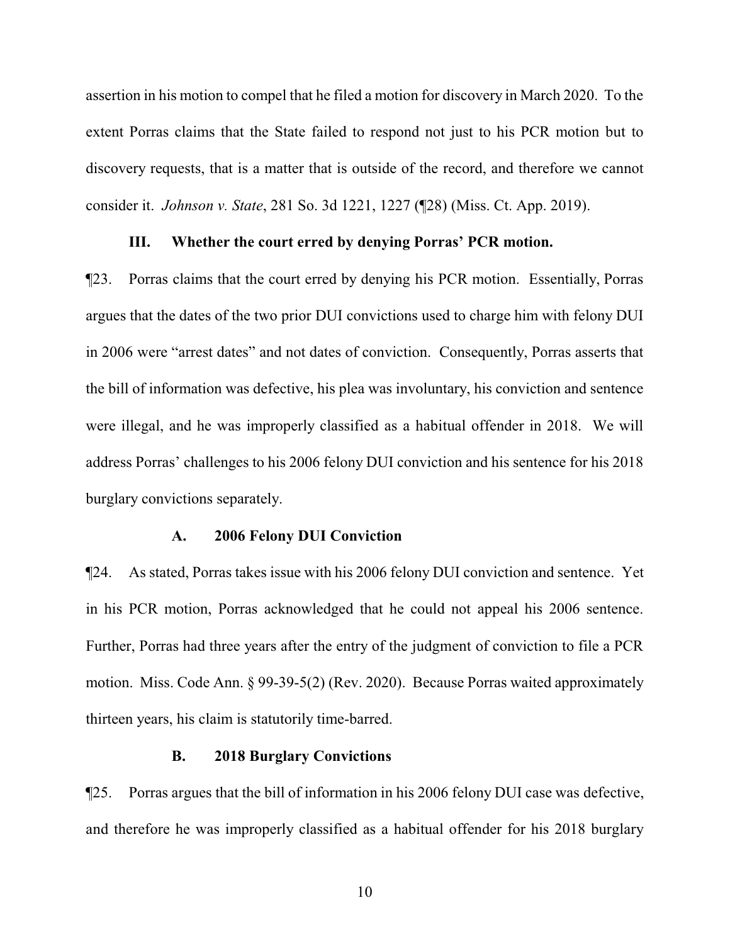assertion in his motion to compel that he filed a motion for discovery in March 2020. To the extent Porras claims that the State failed to respond not just to his PCR motion but to discovery requests, that is a matter that is outside of the record, and therefore we cannot consider it. *Johnson v. State*, 281 So. 3d 1221, 1227 (¶28) (Miss. Ct. App. 2019).

### **III. Whether the court erred by denying Porras' PCR motion.**

¶23. Porras claims that the court erred by denying his PCR motion. Essentially, Porras argues that the dates of the two prior DUI convictions used to charge him with felony DUI in 2006 were "arrest dates" and not dates of conviction. Consequently, Porras asserts that the bill of information was defective, his plea was involuntary, his conviction and sentence were illegal, and he was improperly classified as a habitual offender in 2018. We will address Porras' challenges to his 2006 felony DUI conviction and his sentence for his 2018 burglary convictions separately.

### **A. 2006 Felony DUI Conviction**

¶24. As stated, Porras takes issue with his 2006 felony DUI conviction and sentence. Yet in his PCR motion, Porras acknowledged that he could not appeal his 2006 sentence. Further, Porras had three years after the entry of the judgment of conviction to file a PCR motion. Miss. Code Ann. § 99-39-5(2) (Rev. 2020). Because Porras waited approximately thirteen years, his claim is statutorily time-barred.

#### **B. 2018 Burglary Convictions**

¶25. Porras argues that the bill of information in his 2006 felony DUI case was defective, and therefore he was improperly classified as a habitual offender for his 2018 burglary

10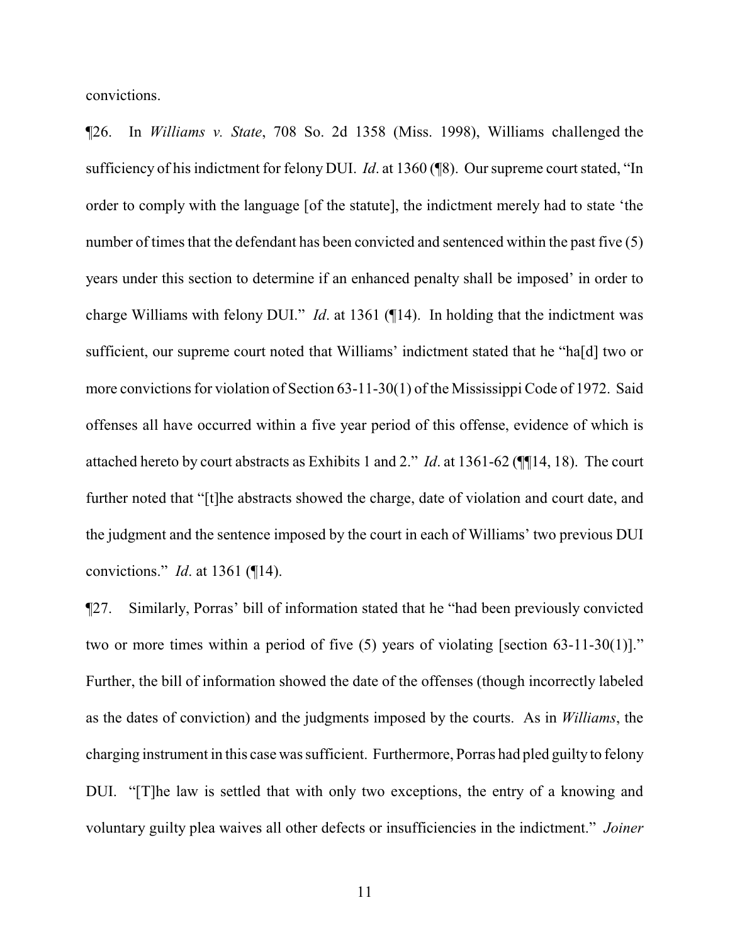convictions.

¶26. In *Williams v. State*, 708 So. 2d 1358 (Miss. 1998), Williams challenged the sufficiency of his indictment for felony DUI. *Id*. at 1360 (¶8). Our supreme court stated, "In order to comply with the language [of the statute], the indictment merely had to state 'the number of times that the defendant has been convicted and sentenced within the past five (5) years under this section to determine if an enhanced penalty shall be imposed' in order to charge Williams with felony DUI." *Id*. at 1361 (¶14). In holding that the indictment was sufficient, our supreme court noted that Williams' indictment stated that he "ha[d] two or more convictions for violation of Section 63-11-30(1) of the Mississippi Code of 1972. Said offenses all have occurred within a five year period of this offense, evidence of which is attached hereto by court abstracts as Exhibits 1 and 2." *Id*. at 1361-62 (¶¶14, 18). The court further noted that "[t]he abstracts showed the charge, date of violation and court date, and the judgment and the sentence imposed by the court in each of Williams' two previous DUI convictions." *Id*. at 1361 (¶14).

¶27. Similarly, Porras' bill of information stated that he "had been previously convicted two or more times within a period of five (5) years of violating [section 63-11-30(1)]." Further, the bill of information showed the date of the offenses (though incorrectly labeled as the dates of conviction) and the judgments imposed by the courts. As in *Williams*, the charging instrument in this case was sufficient. Furthermore, Porras had pled guilty to felony DUI. "[T]he law is settled that with only two exceptions, the entry of a knowing and voluntary guilty plea waives all other defects or insufficiencies in the indictment." *Joiner*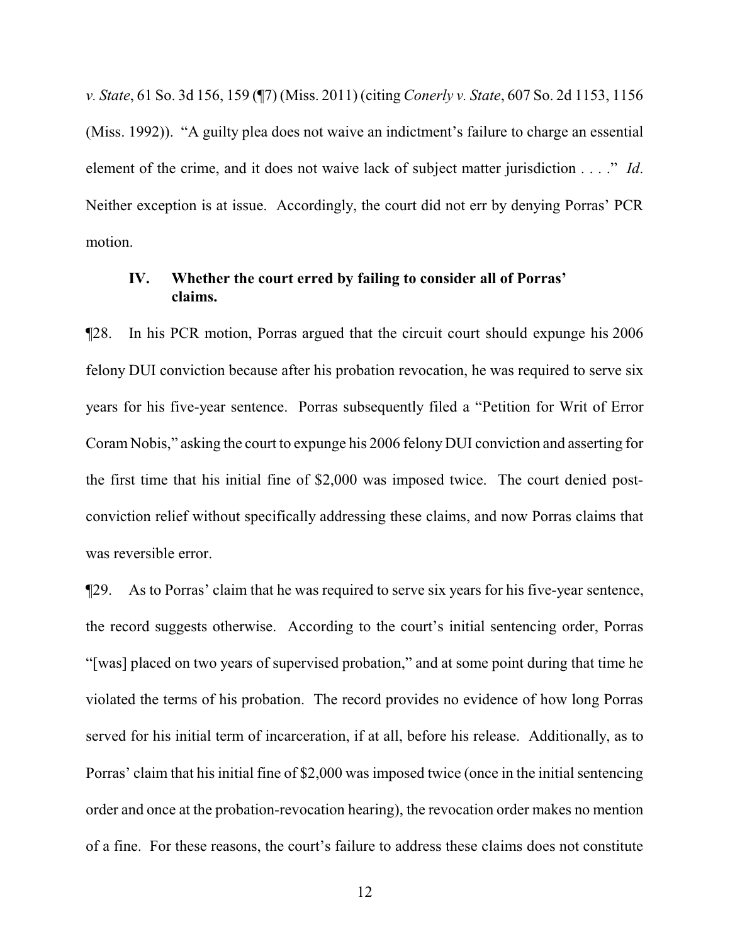*v. State*, 61 So. 3d 156, 159 (¶7) (Miss. 2011) (citing *Conerly v. State*, 607 So. 2d 1153, 1156 (Miss. 1992)). "A guilty plea does not waive an indictment's failure to charge an essential element of the crime, and it does not waive lack of subject matter jurisdiction . . . ." *Id*. Neither exception is at issue. Accordingly, the court did not err by denying Porras' PCR motion.

# **IV. Whether the court erred by failing to consider all of Porras' claims.**

¶28. In his PCR motion, Porras argued that the circuit court should expunge his 2006 felony DUI conviction because after his probation revocation, he was required to serve six years for his five-year sentence. Porras subsequently filed a "Petition for Writ of Error Coram Nobis," asking the court to expunge his 2006 felony DUI conviction and asserting for the first time that his initial fine of \$2,000 was imposed twice. The court denied postconviction relief without specifically addressing these claims, and now Porras claims that was reversible error.

¶29. As to Porras' claim that he was required to serve six years for his five-year sentence, the record suggests otherwise. According to the court's initial sentencing order, Porras "[was] placed on two years of supervised probation," and at some point during that time he violated the terms of his probation. The record provides no evidence of how long Porras served for his initial term of incarceration, if at all, before his release. Additionally, as to Porras' claim that his initial fine of \$2,000 was imposed twice (once in the initial sentencing order and once at the probation-revocation hearing), the revocation order makes no mention of a fine. For these reasons, the court's failure to address these claims does not constitute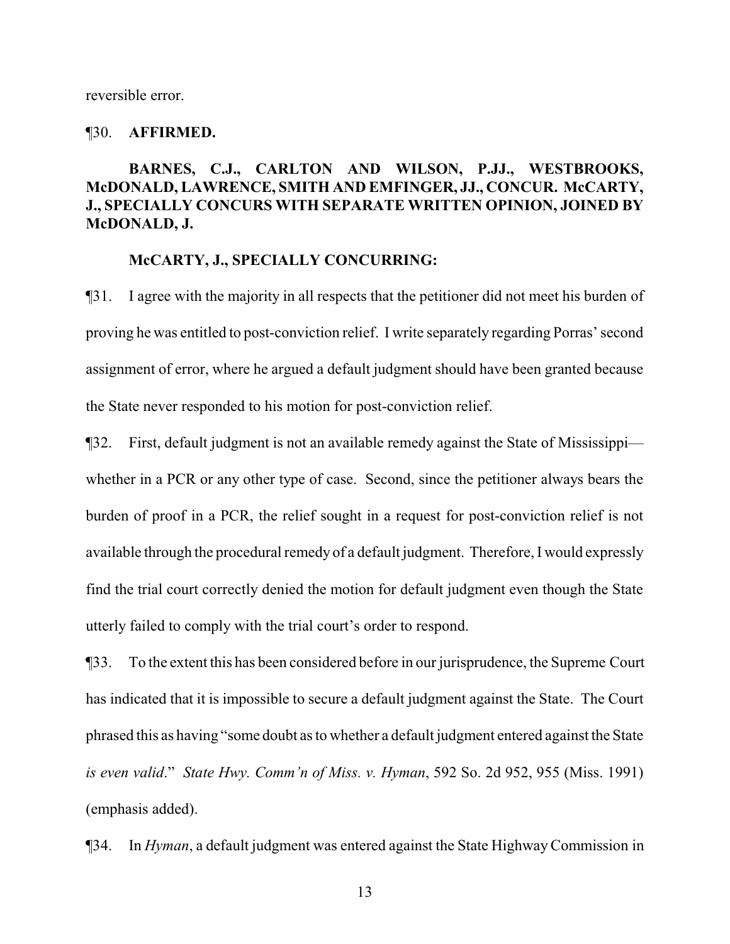reversible error.

#### ¶30. **AFFIRMED.**

# **BARNES, C.J., CARLTON AND WILSON, P.JJ., WESTBROOKS, McDONALD, LAWRENCE, SMITH AND EMFINGER, JJ., CONCUR. McCARTY, J., SPECIALLY CONCURS WITH SEPARATE WRITTEN OPINION, JOINED BY McDONALD, J.**

#### **McCARTY, J., SPECIALLY CONCURRING:**

¶31. I agree with the majority in all respects that the petitioner did not meet his burden of proving he was entitled to post-conviction relief. I write separately regarding Porras' second assignment of error, where he argued a default judgment should have been granted because the State never responded to his motion for post-conviction relief.

¶32. First, default judgment is not an available remedy against the State of Mississippi whether in a PCR or any other type of case. Second, since the petitioner always bears the burden of proof in a PCR, the relief sought in a request for post-conviction relief is not available through the procedural remedy of a default judgment. Therefore, I would expressly find the trial court correctly denied the motion for default judgment even though the State utterly failed to comply with the trial court's order to respond.

¶33. To the extent this has been considered before in our jurisprudence, the Supreme Court has indicated that it is impossible to secure a default judgment against the State. The Court phrased this as having "some doubt as to whether a default judgment entered against the State *is even valid*." *State Hwy. Comm'n of Miss. v. Hyman*, 592 So. 2d 952, 955 (Miss. 1991) (emphasis added).

¶34. In *Hyman*, a default judgment was entered against the State HighwayCommission in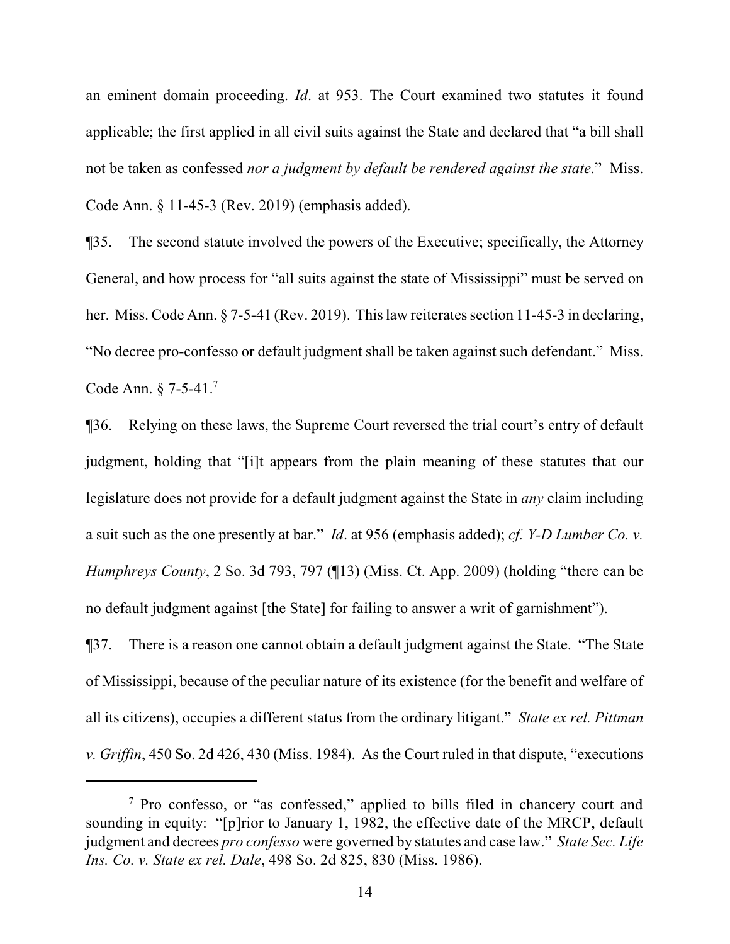an eminent domain proceeding. *Id*. at 953. The Court examined two statutes it found applicable; the first applied in all civil suits against the State and declared that "a bill shall not be taken as confessed *nor a judgment by default be rendered against the state*." Miss. Code Ann. § 11-45-3 (Rev. 2019) (emphasis added).

¶35. The second statute involved the powers of the Executive; specifically, the Attorney General, and how process for "all suits against the state of Mississippi" must be served on her. Miss. Code Ann. § 7-5-41 (Rev. 2019). This law reiterates section 11-45-3 in declaring, "No decree pro-confesso or default judgment shall be taken against such defendant." Miss. Code Ann. § 7-5-41.<sup>7</sup>

¶36. Relying on these laws, the Supreme Court reversed the trial court's entry of default judgment, holding that "[i]t appears from the plain meaning of these statutes that our legislature does not provide for a default judgment against the State in *any* claim including a suit such as the one presently at bar." *Id*. at 956 (emphasis added); *cf. Y-D Lumber Co. v. Humphreys County*, 2 So. 3d 793, 797 (¶13) (Miss. Ct. App. 2009) (holding "there can be no default judgment against [the State] for failing to answer a writ of garnishment").

¶37. There is a reason one cannot obtain a default judgment against the State. "The State of Mississippi, because of the peculiar nature of its existence (for the benefit and welfare of all its citizens), occupies a different status from the ordinary litigant." *State ex rel. Pittman v. Griffin*, 450 So. 2d 426, 430 (Miss. 1984). As the Court ruled in that dispute, "executions

<sup>7</sup> Pro confesso, or "as confessed," applied to bills filed in chancery court and sounding in equity: "[p]rior to January 1, 1982, the effective date of the MRCP, default judgment and decrees *pro confesso* were governed by statutes and case law." *State Sec. Life Ins. Co. v. State ex rel. Dale*, 498 So. 2d 825, 830 (Miss. 1986).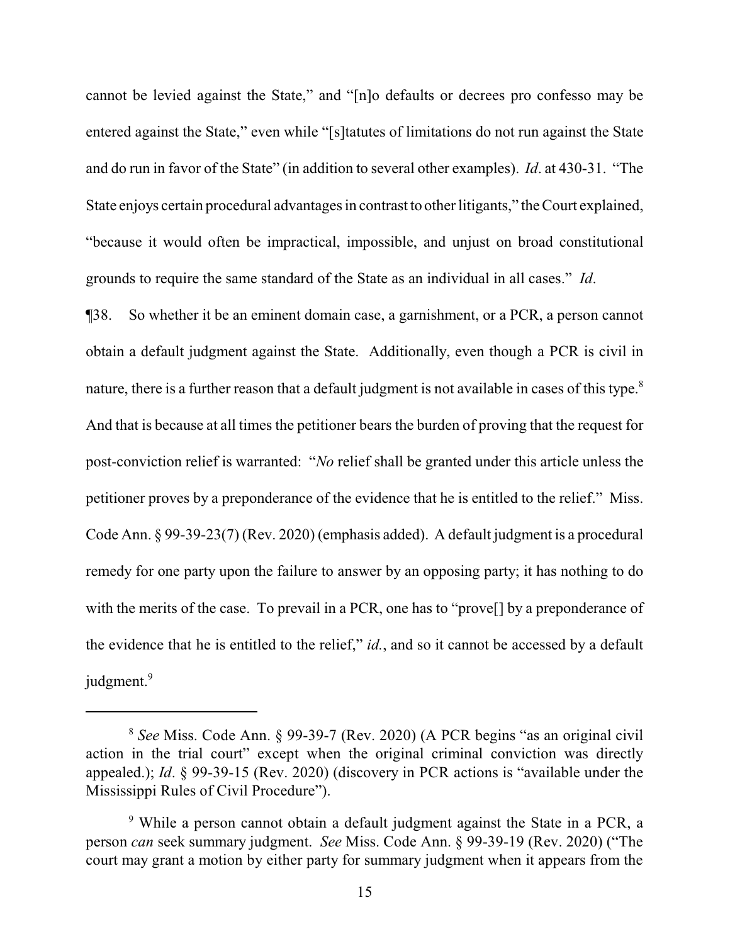cannot be levied against the State," and "[n]o defaults or decrees pro confesso may be entered against the State," even while "[s]tatutes of limitations do not run against the State and do run in favor of the State" (in addition to several other examples). *Id*. at 430-31. "The State enjoys certain procedural advantages in contrast to other litigants," the Court explained, "because it would often be impractical, impossible, and unjust on broad constitutional grounds to require the same standard of the State as an individual in all cases." *Id*.

¶38. So whether it be an eminent domain case, a garnishment, or a PCR, a person cannot obtain a default judgment against the State. Additionally, even though a PCR is civil in nature, there is a further reason that a default judgment is not available in cases of this type.<sup>8</sup> And that is because at all times the petitioner bears the burden of proving that the request for post-conviction relief is warranted: "*No* relief shall be granted under this article unless the petitioner proves by a preponderance of the evidence that he is entitled to the relief." Miss. Code Ann. § 99-39-23(7) (Rev. 2020) (emphasis added). A default judgment is a procedural remedy for one party upon the failure to answer by an opposing party; it has nothing to do with the merits of the case. To prevail in a PCR, one has to "provel" by a preponderance of the evidence that he is entitled to the relief," *id.*, and so it cannot be accessed by a default judgment.<sup>9</sup>

<sup>8</sup> *See* Miss. Code Ann. § 99-39-7 (Rev. 2020) (A PCR begins "as an original civil action in the trial court" except when the original criminal conviction was directly appealed.); *Id*. § 99-39-15 (Rev. 2020) (discovery in PCR actions is "available under the Mississippi Rules of Civil Procedure").

<sup>9</sup> While a person cannot obtain a default judgment against the State in a PCR, a person *can* seek summary judgment. *See* Miss. Code Ann. § 99-39-19 (Rev. 2020) ("The court may grant a motion by either party for summary judgment when it appears from the